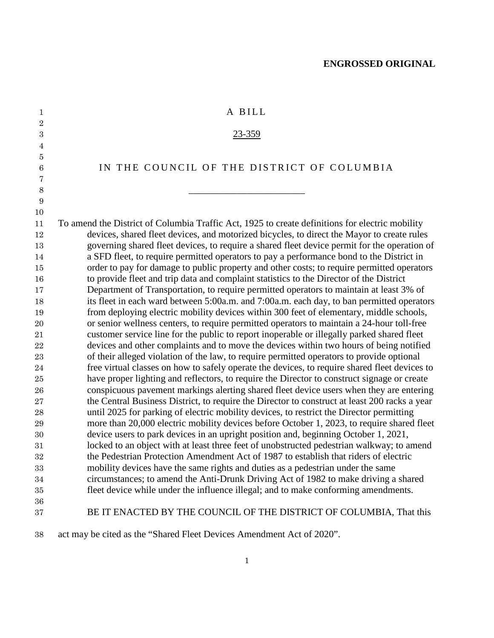| $\mathbf{1}$     | A BILL                                                                                          |
|------------------|-------------------------------------------------------------------------------------------------|
| $\boldsymbol{2}$ |                                                                                                 |
| $\boldsymbol{3}$ | 23-359                                                                                          |
| 4                |                                                                                                 |
| 5                |                                                                                                 |
| $\boldsymbol{6}$ | IN THE COUNCIL OF THE DISTRICT OF COLUMBIA                                                      |
| 7                |                                                                                                 |
| $\,8\,$          |                                                                                                 |
| $\boldsymbol{9}$ |                                                                                                 |
| 10               |                                                                                                 |
| 11               | To amend the District of Columbia Traffic Act, 1925 to create definitions for electric mobility |
| 12               | devices, shared fleet devices, and motorized bicycles, to direct the Mayor to create rules      |
| 13               | governing shared fleet devices, to require a shared fleet device permit for the operation of    |
| 14               | a SFD fleet, to require permitted operators to pay a performance bond to the District in        |
| 15               | order to pay for damage to public property and other costs; to require permitted operators      |
| 16               | to provide fleet and trip data and complaint statistics to the Director of the District         |
| 17               | Department of Transportation, to require permitted operators to maintain at least 3% of         |
| 18               | its fleet in each ward between 5:00a.m. and 7:00a.m. each day, to ban permitted operators       |
| 19               | from deploying electric mobility devices within 300 feet of elementary, middle schools,         |
| 20               | or senior wellness centers, to require permitted operators to maintain a 24-hour toll-free      |
| 21               | customer service line for the public to report inoperable or illegally parked shared fleet      |
| $\bf 22$         | devices and other complaints and to move the devices within two hours of being notified         |
| 23               | of their alleged violation of the law, to require permitted operators to provide optional       |
| $\sqrt{24}$      | free virtual classes on how to safely operate the devices, to require shared fleet devices to   |
| $\rm 25$         | have proper lighting and reflectors, to require the Director to construct signage or create     |
| 26               | conspicuous pavement markings alerting shared fleet device users when they are entering         |
| 27               | the Central Business District, to require the Director to construct at least 200 racks a year   |
| 28               | until 2025 for parking of electric mobility devices, to restrict the Director permitting        |
| $\,29$           | more than 20,000 electric mobility devices before October 1, 2023, to require shared fleet      |
| 30               | device users to park devices in an upright position and, beginning October 1, 2021,             |
| 31               | locked to an object with at least three feet of unobstructed pedestrian walkway; to amend       |
| 32               | the Pedestrian Protection Amendment Act of 1987 to establish that riders of electric            |
| $33\,$           | mobility devices have the same rights and duties as a pedestrian under the same                 |
| 34               | circumstances; to amend the Anti-Drunk Driving Act of 1982 to make driving a shared             |
| $35\,$           | fleet device while under the influence illegal; and to make conforming amendments.              |
| 36               |                                                                                                 |
| 37               | BE IT ENACTED BY THE COUNCIL OF THE DISTRICT OF COLUMBIA, That this                             |
| 38               | act may be cited as the "Shared Fleet Devices Amendment Act of 2020".                           |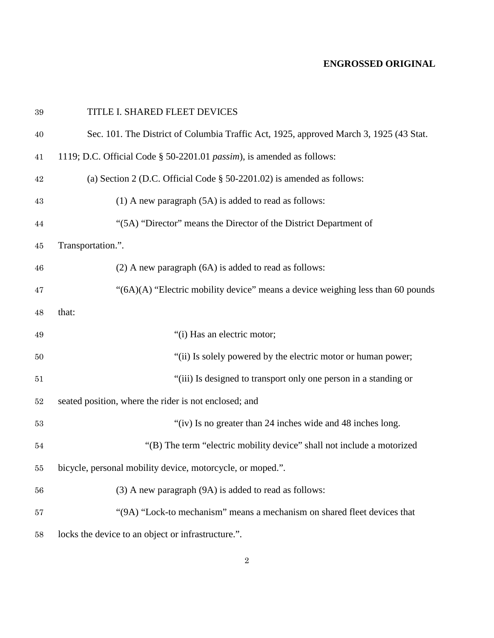| $39\,$ | TITLE I. SHARED FLEET DEVICES                                                          |
|--------|----------------------------------------------------------------------------------------|
| 40     | Sec. 101. The District of Columbia Traffic Act, 1925, approved March 3, 1925 (43 Stat. |
| 41     | 1119; D.C. Official Code § 50-2201.01 passim), is amended as follows:                  |
| $42\,$ | (a) Section 2 (D.C. Official Code $\S$ 50-2201.02) is amended as follows:              |
| 43     | $(1)$ A new paragraph $(5A)$ is added to read as follows:                              |
| 44     | "(5A) "Director" means the Director of the District Department of                      |
| 45     | Transportation.".                                                                      |
| 46     | $(2)$ A new paragraph $(6A)$ is added to read as follows:                              |
| 47     | "(6A)(A) "Electric mobility device" means a device weighing less than 60 pounds        |
| 48     | that:                                                                                  |
| 49     | "(i) Has an electric motor;                                                            |
| 50     | "(ii) Is solely powered by the electric motor or human power;                          |
| 51     | "(iii) Is designed to transport only one person in a standing or                       |
| $52\,$ | seated position, where the rider is not enclosed; and                                  |
| $53\,$ | "(iv) Is no greater than 24 inches wide and 48 inches long.                            |
| 54     | "(B) The term "electric mobility device" shall not include a motorized                 |
| 55     | bicycle, personal mobility device, motorcycle, or moped.".                             |
| 56     | (3) A new paragraph (9A) is added to read as follows:                                  |
| 57     | "(9A) "Lock-to mechanism" means a mechanism on shared fleet devices that               |
| 58     | locks the device to an object or infrastructure.".                                     |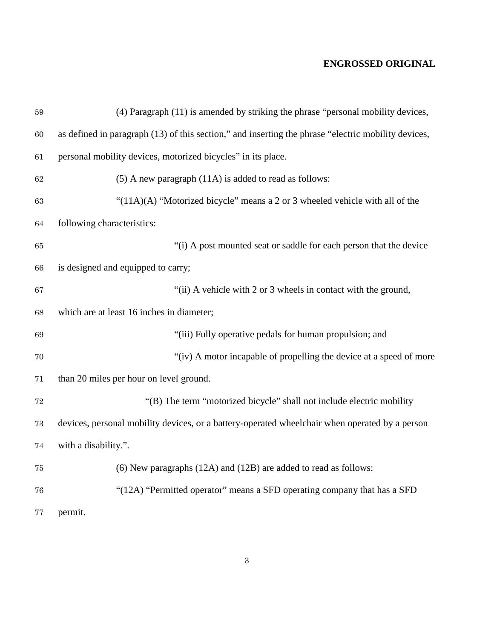| $59\,$      | (4) Paragraph (11) is amended by striking the phrase "personal mobility devices,                    |
|-------------|-----------------------------------------------------------------------------------------------------|
| 60          | as defined in paragraph (13) of this section," and inserting the phrase "electric mobility devices, |
| 61          | personal mobility devices, motorized bicycles" in its place.                                        |
| 62          | $(5)$ A new paragraph $(11A)$ is added to read as follows:                                          |
| 63          | " $(11A)(A)$ "Motorized bicycle" means a 2 or 3 wheeled vehicle with all of the                     |
| 64          | following characteristics:                                                                          |
| 65          | "(i) A post mounted seat or saddle for each person that the device                                  |
| 66          | is designed and equipped to carry;                                                                  |
| 67          | "(ii) A vehicle with 2 or 3 wheels in contact with the ground,                                      |
| 68          | which are at least 16 inches in diameter;                                                           |
| 69          | "(iii) Fully operative pedals for human propulsion; and                                             |
| 70          | "(iv) A motor incapable of propelling the device at a speed of more                                 |
| 71          | than 20 miles per hour on level ground.                                                             |
| $\sqrt{72}$ | "(B) The term "motorized bicycle" shall not include electric mobility                               |
| 73          | devices, personal mobility devices, or a battery-operated wheelchair when operated by a person      |
| 74          | with a disability.".                                                                                |
| 75          | (6) New paragraphs (12A) and (12B) are added to read as follows:                                    |
| 76          | "(12A) "Permitted operator" means a SFD operating company that has a SFD                            |
| 77          | permit.                                                                                             |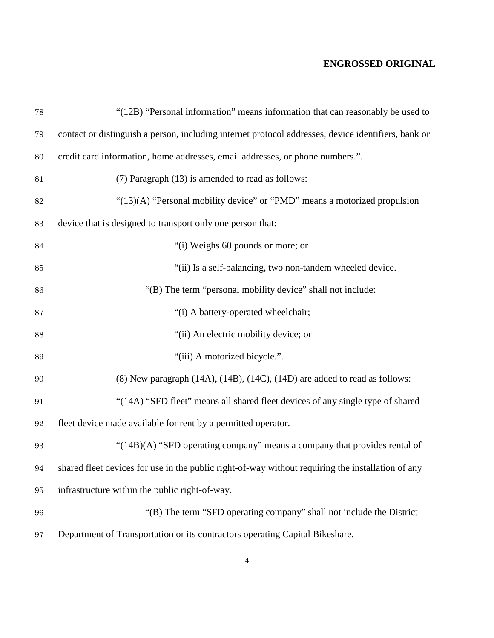| $78\,$            | "(12B) "Personal information" means information that can reasonably be used to                      |
|-------------------|-----------------------------------------------------------------------------------------------------|
| 79                | contact or distinguish a person, including internet protocol addresses, device identifiers, bank or |
| 80                | credit card information, home addresses, email addresses, or phone numbers.".                       |
| 81                | (7) Paragraph (13) is amended to read as follows:                                                   |
| $82\,$            | "(13)(A) "Personal mobility device" or "PMD" means a motorized propulsion                           |
| 83                | device that is designed to transport only one person that:                                          |
| $\bf 84$          | "(i) Weighs 60 pounds or more; or                                                                   |
| 85                | "(ii) Is a self-balancing, two non-tandem wheeled device.                                           |
| 86                | "(B) The term "personal mobility device" shall not include:                                         |
| 87                | "(i) A battery-operated wheelchair;                                                                 |
| 88                | "(ii) An electric mobility device; or                                                               |
| 89                | "(iii) A motorized bicycle.".                                                                       |
| 90                | $(8)$ New paragraph $(14A)$ , $(14B)$ , $(14C)$ , $(14D)$ are added to read as follows:             |
| 91                | "(14A) "SFD fleet" means all shared fleet devices of any single type of shared                      |
| $\boldsymbol{92}$ | fleet device made available for rent by a permitted operator.                                       |
| $\boldsymbol{93}$ | "(14B)(A) "SFD operating company" means a company that provides rental of                           |
| 94                | shared fleet devices for use in the public right-of-way without requiring the installation of any   |
| 95                | infrastructure within the public right-of-way.                                                      |
| 96                | "(B) The term "SFD operating company" shall not include the District                                |
| 97                | Department of Transportation or its contractors operating Capital Bikeshare.                        |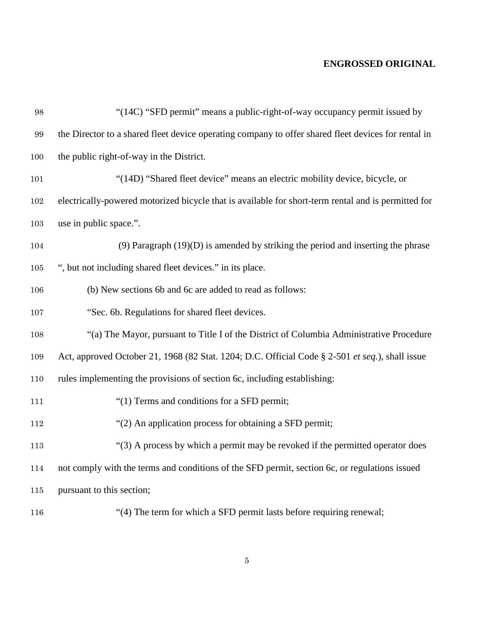| 98      | "(14C) "SFD permit" means a public-right-of-way occupancy permit issued by                          |
|---------|-----------------------------------------------------------------------------------------------------|
| 99      | the Director to a shared fleet device operating company to offer shared fleet devices for rental in |
| 100     | the public right-of-way in the District.                                                            |
| 101     | "(14D) "Shared fleet device" means an electric mobility device, bicycle, or                         |
| 102     | electrically-powered motorized bicycle that is available for short-term rental and is permitted for |
| 103     | use in public space.".                                                                              |
| 104     | $(9)$ Paragraph $(19)(D)$ is amended by striking the period and inserting the phrase                |
| $105\,$ | ", but not including shared fleet devices." in its place.                                           |
| 106     | (b) New sections 6b and 6c are added to read as follows:                                            |
| 107     | "Sec. 6b. Regulations for shared fleet devices.                                                     |
| 108     | "(a) The Mayor, pursuant to Title I of the District of Columbia Administrative Procedure            |
| 109     | Act, approved October 21, 1968 (82 Stat. 1204; D.C. Official Code § 2-501 et seq.), shall issue     |
| 110     | rules implementing the provisions of section 6c, including establishing:                            |
| 111     | "(1) Terms and conditions for a SFD permit;                                                         |
| 112     | "(2) An application process for obtaining a SFD permit;                                             |
| 113     | "(3) A process by which a permit may be revoked if the permitted operator does                      |
| 114     | not comply with the terms and conditions of the SFD permit, section 6c, or regulations issued       |
| $115\,$ | pursuant to this section;                                                                           |
| 116     | "(4) The term for which a SFD permit lasts before requiring renewal;                                |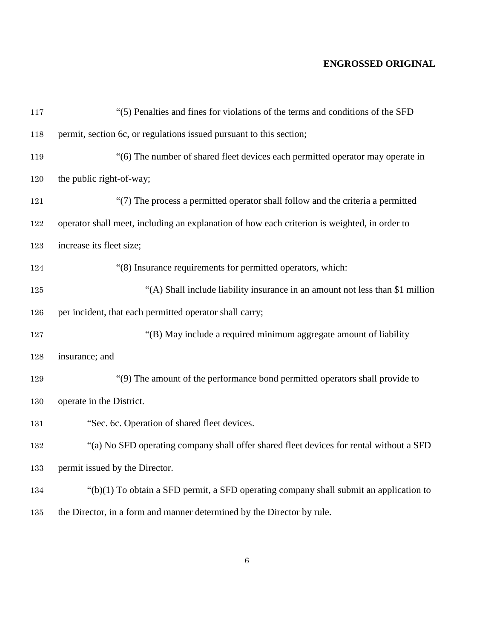| $117\,$ | "(5) Penalties and fines for violations of the terms and conditions of the SFD               |
|---------|----------------------------------------------------------------------------------------------|
| 118     | permit, section 6c, or regulations issued pursuant to this section;                          |
| 119     | "(6) The number of shared fleet devices each permitted operator may operate in               |
| 120     | the public right-of-way;                                                                     |
| 121     | "(7) The process a permitted operator shall follow and the criteria a permitted              |
| 122     | operator shall meet, including an explanation of how each criterion is weighted, in order to |
| 123     | increase its fleet size;                                                                     |
| 124     | "(8) Insurance requirements for permitted operators, which:                                  |
| $125\,$ | "(A) Shall include liability insurance in an amount not less than \$1 million                |
| 126     | per incident, that each permitted operator shall carry;                                      |
| 127     | "(B) May include a required minimum aggregate amount of liability                            |
| 128     | insurance; and                                                                               |
| 129     | "(9) The amount of the performance bond permitted operators shall provide to                 |
| 130     | operate in the District.                                                                     |
| 131     | "Sec. 6c. Operation of shared fleet devices.                                                 |
| 132     | "(a) No SFD operating company shall offer shared fleet devices for rental without a SFD      |
| 133     | permit issued by the Director.                                                               |
| 134     | " $(b)(1)$ To obtain a SFD permit, a SFD operating company shall submit an application to    |
| 135     | the Director, in a form and manner determined by the Director by rule.                       |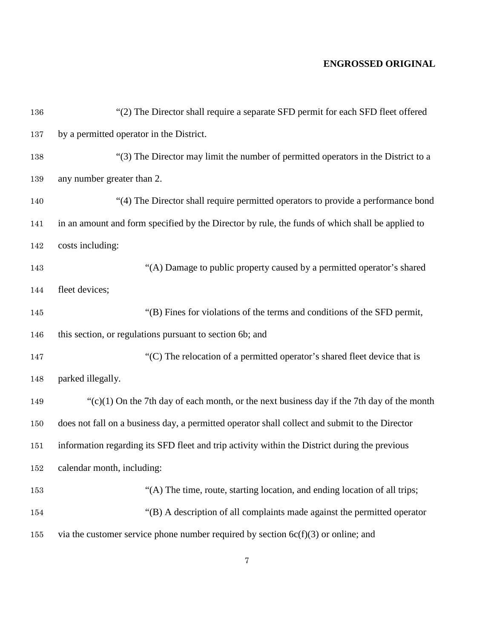| 136 | "(2) The Director shall require a separate SFD permit for each SFD fleet offered                |
|-----|-------------------------------------------------------------------------------------------------|
| 137 | by a permitted operator in the District.                                                        |
| 138 | "(3) The Director may limit the number of permitted operators in the District to a              |
| 139 | any number greater than 2.                                                                      |
| 140 | "(4) The Director shall require permitted operators to provide a performance bond               |
| 141 | in an amount and form specified by the Director by rule, the funds of which shall be applied to |
| 142 | costs including:                                                                                |
| 143 | "(A) Damage to public property caused by a permitted operator's shared                          |
| 144 | fleet devices;                                                                                  |
| 145 | "(B) Fines for violations of the terms and conditions of the SFD permit,                        |
| 146 | this section, or regulations pursuant to section 6b; and                                        |
| 147 | "(C) The relocation of a permitted operator's shared fleet device that is                       |
| 148 | parked illegally.                                                                               |
| 149 | " $(c)(1)$ On the 7th day of each month, or the next business day if the 7th day of the month   |
| 150 | does not fall on a business day, a permitted operator shall collect and submit to the Director  |
| 151 | information regarding its SFD fleet and trip activity within the District during the previous   |
| 152 | calendar month, including:                                                                      |
| 153 | "(A) The time, route, starting location, and ending location of all trips;                      |
| 154 | "(B) A description of all complaints made against the permitted operator                        |
| 155 | via the customer service phone number required by section $6c(f)(3)$ or online; and             |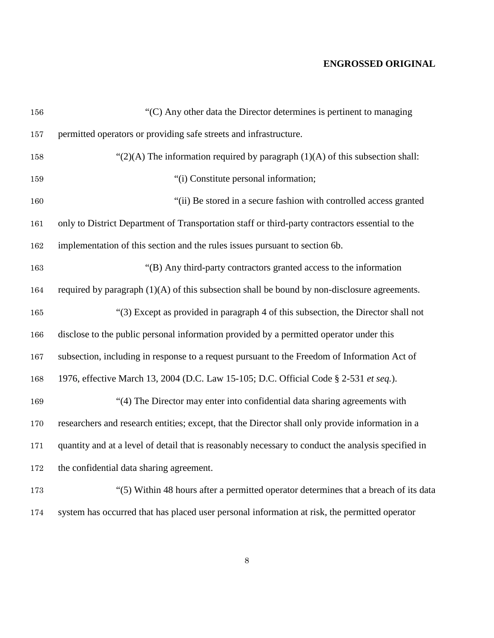| 156 | "(C) Any other data the Director determines is pertinent to managing                                |
|-----|-----------------------------------------------------------------------------------------------------|
| 157 | permitted operators or providing safe streets and infrastructure.                                   |
| 158 | " $(2)(A)$ The information required by paragraph $(1)(A)$ of this subsection shall:                 |
| 159 | "(i) Constitute personal information;                                                               |
| 160 | "(ii) Be stored in a secure fashion with controlled access granted                                  |
| 161 | only to District Department of Transportation staff or third-party contractors essential to the     |
| 162 | implementation of this section and the rules issues pursuant to section 6b.                         |
| 163 | "(B) Any third-party contractors granted access to the information                                  |
| 164 | required by paragraph $(1)(A)$ of this subsection shall be bound by non-disclosure agreements.      |
| 165 | "(3) Except as provided in paragraph 4 of this subsection, the Director shall not                   |
| 166 | disclose to the public personal information provided by a permitted operator under this             |
| 167 | subsection, including in response to a request pursuant to the Freedom of Information Act of        |
| 168 | 1976, effective March 13, 2004 (D.C. Law 15-105; D.C. Official Code § 2-531 et seq.).               |
| 169 | "(4) The Director may enter into confidential data sharing agreements with                          |
| 170 | researchers and research entities; except, that the Director shall only provide information in a    |
| 171 | quantity and at a level of detail that is reasonably necessary to conduct the analysis specified in |
| 172 | the confidential data sharing agreement.                                                            |
| 173 | "(5) Within 48 hours after a permitted operator determines that a breach of its data                |
| 174 | system has occurred that has placed user personal information at risk, the permitted operator       |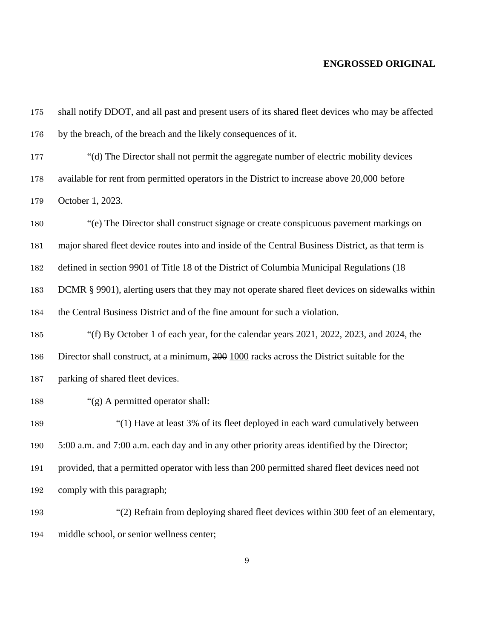| 175 | shall notify DDOT, and all past and present users of its shared fleet devices who may be affected  |
|-----|----------------------------------------------------------------------------------------------------|
| 176 | by the breach, of the breach and the likely consequences of it.                                    |
| 177 | "(d) The Director shall not permit the aggregate number of electric mobility devices               |
| 178 | available for rent from permitted operators in the District to increase above 20,000 before        |
| 179 | October 1, 2023.                                                                                   |
| 180 | "(e) The Director shall construct signage or create conspicuous pavement markings on               |
| 181 | major shared fleet device routes into and inside of the Central Business District, as that term is |
| 182 | defined in section 9901 of Title 18 of the District of Columbia Municipal Regulations (18          |
| 183 | DCMR § 9901), alerting users that they may not operate shared fleet devices on sidewalks within    |
| 184 | the Central Business District and of the fine amount for such a violation.                         |
| 185 | "(f) By October 1 of each year, for the calendar years 2021, 2022, 2023, and 2024, the             |
| 186 | Director shall construct, at a minimum, 200 1000 racks across the District suitable for the        |
| 187 | parking of shared fleet devices.                                                                   |
| 188 | "(g) A permitted operator shall:                                                                   |
| 189 | "(1) Have at least 3% of its fleet deployed in each ward cumulatively between                      |
| 190 | 5:00 a.m. and 7:00 a.m. each day and in any other priority areas identified by the Director;       |
| 191 | provided, that a permitted operator with less than 200 permitted shared fleet devices need not     |
| 192 | comply with this paragraph;                                                                        |
| 193 | "(2) Refrain from deploying shared fleet devices within 300 feet of an elementary,                 |

middle school, or senior wellness center;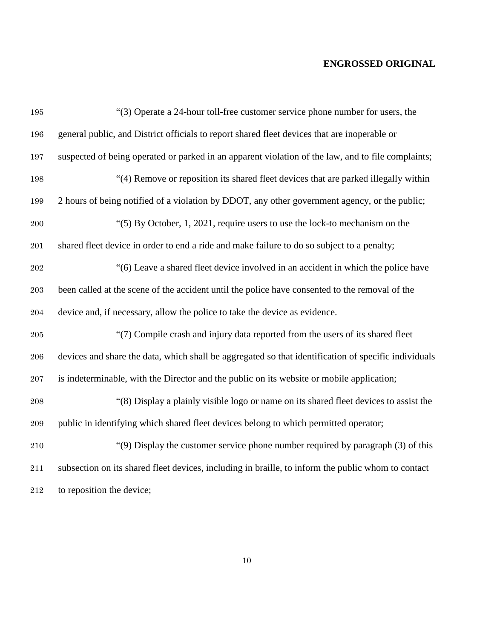| 195     | "(3) Operate a 24-hour toll-free customer service phone number for users, the                        |
|---------|------------------------------------------------------------------------------------------------------|
| 196     | general public, and District officials to report shared fleet devices that are inoperable or         |
| 197     | suspected of being operated or parked in an apparent violation of the law, and to file complaints;   |
| 198     | "(4) Remove or reposition its shared fleet devices that are parked illegally within                  |
| 199     | 2 hours of being notified of a violation by DDOT, any other government agency, or the public;        |
| $200\,$ | " $(5)$ By October, 1, 2021, require users to use the lock-to mechanism on the                       |
| 201     | shared fleet device in order to end a ride and make failure to do so subject to a penalty;           |
| 202     | "(6) Leave a shared fleet device involved in an accident in which the police have                    |
| $\,203$ | been called at the scene of the accident until the police have consented to the removal of the       |
| 204     | device and, if necessary, allow the police to take the device as evidence.                           |
| $205\,$ | "(7) Compile crash and injury data reported from the users of its shared fleet                       |
| $\,206$ | devices and share the data, which shall be aggregated so that identification of specific individuals |
| $207\,$ | is indeterminable, with the Director and the public on its website or mobile application;            |
| 208     | "(8) Display a plainly visible logo or name on its shared fleet devices to assist the                |
| $\,209$ | public in identifying which shared fleet devices belong to which permitted operator;                 |
| $210\,$ | "(9) Display the customer service phone number required by paragraph (3) of this                     |
| $211\,$ | subsection on its shared fleet devices, including in braille, to inform the public whom to contact   |
| 212     | to reposition the device;                                                                            |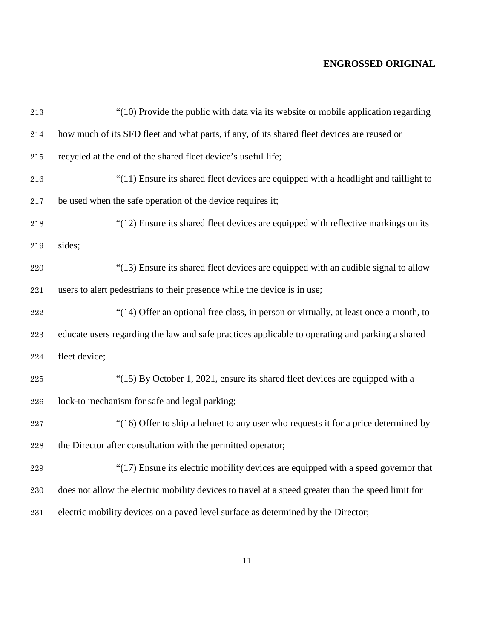| $\bf 213$    | "(10) Provide the public with data via its website or mobile application regarding                 |
|--------------|----------------------------------------------------------------------------------------------------|
| $\sqrt{214}$ | how much of its SFD fleet and what parts, if any, of its shared fleet devices are reused or        |
| $215\,$      | recycled at the end of the shared fleet device's useful life;                                      |
| $216\,$      | "(11) Ensure its shared fleet devices are equipped with a headlight and taillight to               |
| $217\,$      | be used when the safe operation of the device requires it;                                         |
| 218          | "(12) Ensure its shared fleet devices are equipped with reflective markings on its                 |
| 219          | sides;                                                                                             |
| 220          | "(13) Ensure its shared fleet devices are equipped with an audible signal to allow                 |
| $221\,$      | users to alert pedestrians to their presence while the device is in use;                           |
| $222\,$      | "(14) Offer an optional free class, in person or virtually, at least once a month, to              |
| $223\,$      | educate users regarding the law and safe practices applicable to operating and parking a shared    |
| $\bf 224$    | fleet device;                                                                                      |
| 225          | "(15) By October 1, 2021, ensure its shared fleet devices are equipped with a                      |
| $\bf 226$    | lock-to mechanism for safe and legal parking;                                                      |
| $227\,$      | "(16) Offer to ship a helmet to any user who requests it for a price determined by                 |
| $228\,$      | the Director after consultation with the permitted operator;                                       |
| $229\,$      | "(17) Ensure its electric mobility devices are equipped with a speed governor that                 |
| $230\,$      | does not allow the electric mobility devices to travel at a speed greater than the speed limit for |
| $\bf 231$    | electric mobility devices on a paved level surface as determined by the Director;                  |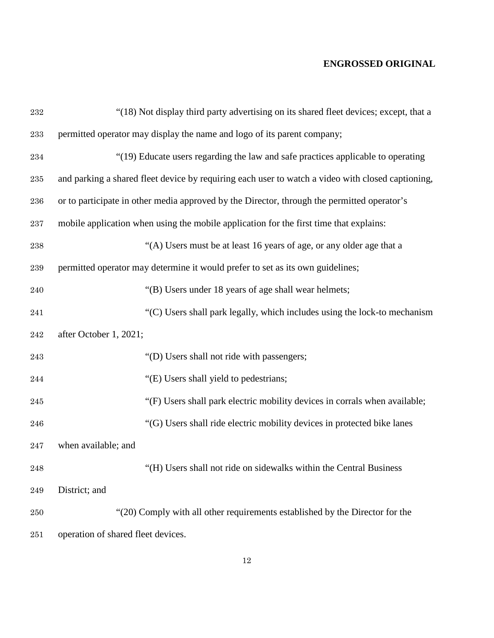| $\bf 232$ | "(18) Not display third party advertising on its shared fleet devices; except, that a             |
|-----------|---------------------------------------------------------------------------------------------------|
| 233       | permitted operator may display the name and logo of its parent company;                           |
| 234       | "(19) Educate users regarding the law and safe practices applicable to operating                  |
| 235       | and parking a shared fleet device by requiring each user to watch a video with closed captioning, |
| $\,236$   | or to participate in other media approved by the Director, through the permitted operator's       |
| 237       | mobile application when using the mobile application for the first time that explains:            |
| 238       | "(A) Users must be at least 16 years of age, or any older age that a                              |
| 239       | permitted operator may determine it would prefer to set as its own guidelines;                    |
| 240       | "(B) Users under 18 years of age shall wear helmets;                                              |
| 241       | "(C) Users shall park legally, which includes using the lock-to mechanism                         |
| 242       | after October 1, 2021;                                                                            |
| 243       | "(D) Users shall not ride with passengers;                                                        |
| 244       | "(E) Users shall yield to pedestrians;                                                            |
| 245       | "(F) Users shall park electric mobility devices in corrals when available;                        |
| 246       | "(G) Users shall ride electric mobility devices in protected bike lanes                           |
| 247       | when available; and                                                                               |
| $\bf 248$ | "(H) Users shall not ride on sidewalks within the Central Business                                |
| $\bf 249$ | District; and                                                                                     |
| 250       | "(20) Comply with all other requirements established by the Director for the                      |
| $251\,$   | operation of shared fleet devices.                                                                |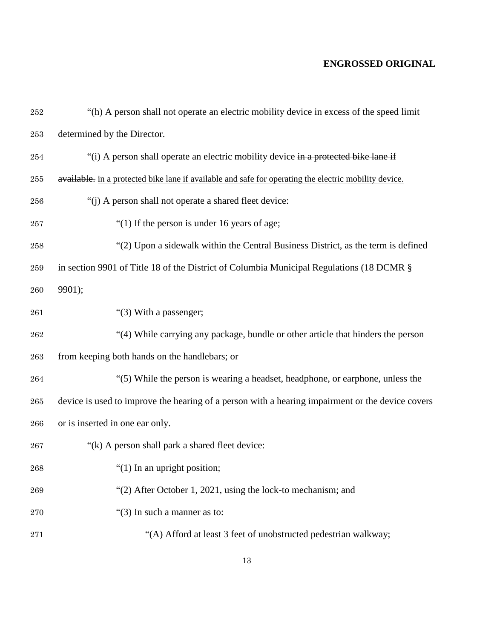| 252       | "(h) A person shall not operate an electric mobility device in excess of the speed limit              |
|-----------|-------------------------------------------------------------------------------------------------------|
| 253       | determined by the Director.                                                                           |
| 254       | "(i) A person shall operate an electric mobility device in a protected bike lane if                   |
| $255\,$   | available. in a protected bike lane if available and safe for operating the electric mobility device. |
| 256       | "(j) A person shall not operate a shared fleet device:                                                |
| 257       | "(1) If the person is under 16 years of age;                                                          |
| 258       | "(2) Upon a sidewalk within the Central Business District, as the term is defined                     |
| 259       | in section 9901 of Title 18 of the District of Columbia Municipal Regulations (18 DCMR §              |
| 260       | 9901);                                                                                                |
| 261       | "(3) With a passenger;                                                                                |
| 262       | "(4) While carrying any package, bundle or other article that hinders the person                      |
| 263       | from keeping both hands on the handlebars; or                                                         |
| 264       | "(5) While the person is wearing a headset, headphone, or earphone, unless the                        |
| 265       | device is used to improve the hearing of a person with a hearing impairment or the device covers      |
| 266       | or is inserted in one ear only.                                                                       |
| 267       | "(k) A person shall park a shared fleet device:                                                       |
| 268       | " $(1)$ In an upright position;                                                                       |
| 269       | "(2) After October 1, 2021, using the lock-to mechanism; and                                          |
| 270       | "(3) In such a manner as to:                                                                          |
| $\bf 271$ | "(A) Afford at least 3 feet of unobstructed pedestrian walkway;                                       |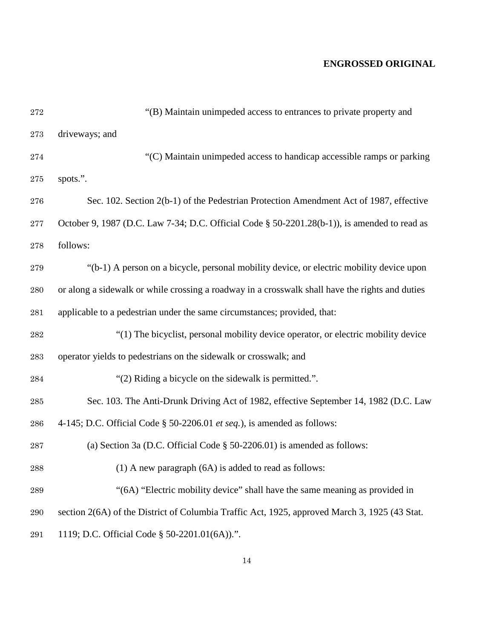| $\bf 272$ | "(B) Maintain unimpeded access to entrances to private property and                             |
|-----------|-------------------------------------------------------------------------------------------------|
| 273       | driveways; and                                                                                  |
| 274       | "(C) Maintain unimpeded access to handicap accessible ramps or parking                          |
| $275\,$   | spots.".                                                                                        |
| 276       | Sec. 102. Section 2(b-1) of the Pedestrian Protection Amendment Act of 1987, effective          |
| $\bf 277$ | October 9, 1987 (D.C. Law 7-34; D.C. Official Code § 50-2201.28(b-1)), is amended to read as    |
| 278       | follows:                                                                                        |
| 279       | "(b-1) A person on a bicycle, personal mobility device, or electric mobility device upon        |
| 280       | or along a sidewalk or while crossing a roadway in a crosswalk shall have the rights and duties |
| 281       | applicable to a pedestrian under the same circumstances; provided, that:                        |
| 282       | "(1) The bicyclist, personal mobility device operator, or electric mobility device              |
| 283       | operator yields to pedestrians on the sidewalk or crosswalk; and                                |
| 284       | "(2) Riding a bicycle on the sidewalk is permitted.".                                           |
| 285       | Sec. 103. The Anti-Drunk Driving Act of 1982, effective September 14, 1982 (D.C. Law            |
| 286       | 4-145; D.C. Official Code $\S$ 50-2206.01 <i>et seq.</i> ), is amended as follows:              |
| 287       | (a) Section 3a (D.C. Official Code $\S$ 50-2206.01) is amended as follows:                      |
| 288       | $(1)$ A new paragraph $(6A)$ is added to read as follows:                                       |
| 289       | "(6A) "Electric mobility device" shall have the same meaning as provided in                     |
| 290       | section 2(6A) of the District of Columbia Traffic Act, 1925, approved March 3, 1925 (43 Stat.   |
| 291       | 1119; D.C. Official Code § 50-2201.01(6A)).".                                                   |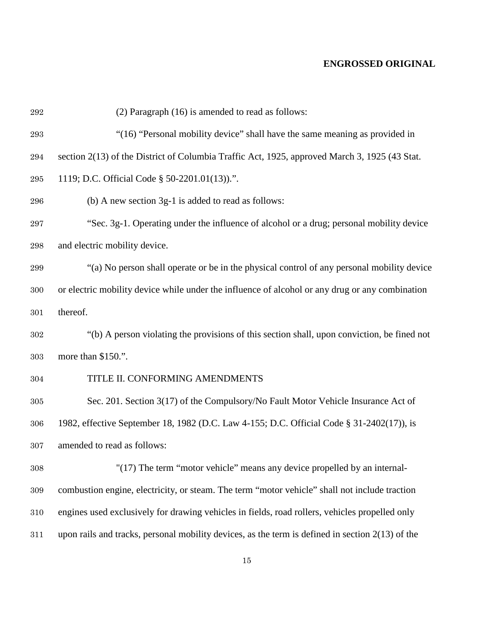| $\bf 292$          | (2) Paragraph (16) is amended to read as follows:                                                  |
|--------------------|----------------------------------------------------------------------------------------------------|
| 293                | "(16) "Personal mobility device" shall have the same meaning as provided in                        |
| 294                | section 2(13) of the District of Columbia Traffic Act, 1925, approved March 3, 1925 (43 Stat.      |
| $\,295$            | 1119; D.C. Official Code § 50-2201.01(13)).".                                                      |
| 296                | (b) A new section 3g-1 is added to read as follows:                                                |
| 297                | "Sec. 3g-1. Operating under the influence of alcohol or a drug; personal mobility device           |
| $\boldsymbol{298}$ | and electric mobility device.                                                                      |
| $\,299$            | "(a) No person shall operate or be in the physical control of any personal mobility device         |
| 300                | or electric mobility device while under the influence of alcohol or any drug or any combination    |
| 301                | thereof.                                                                                           |
| 302                | "(b) A person violating the provisions of this section shall, upon conviction, be fined not        |
| 303                | more than \$150.".                                                                                 |
| 304                | TITLE II. CONFORMING AMENDMENTS                                                                    |
| $305\,$            | Sec. 201. Section 3(17) of the Compulsory/No Fault Motor Vehicle Insurance Act of                  |
| 306                | 1982, effective September 18, 1982 (D.C. Law 4-155; D.C. Official Code § 31-2402(17)), is          |
| 307                | amended to read as follows:                                                                        |
| $308\,$            | "(17) The term "motor vehicle" means any device propelled by an internal-                          |
| 309                | combustion engine, electricity, or steam. The term "motor vehicle" shall not include traction      |
| 310                | engines used exclusively for drawing vehicles in fields, road rollers, vehicles propelled only     |
| 311                | upon rails and tracks, personal mobility devices, as the term is defined in section $2(13)$ of the |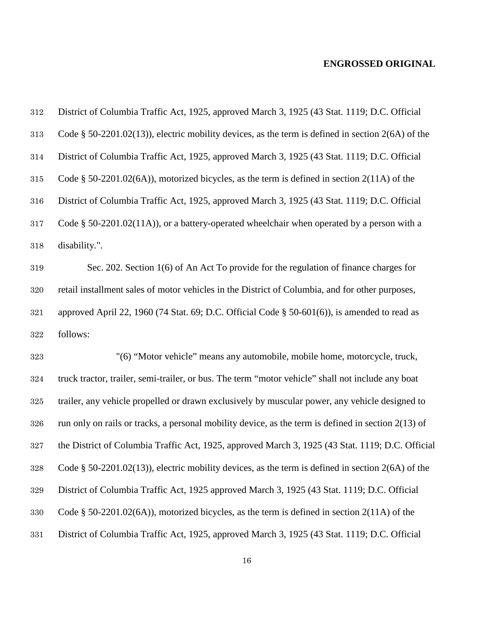| $312\,$ | District of Columbia Traffic Act, 1925, approved March 3, 1925 (43 Stat. 1119; D.C. Official          |
|---------|-------------------------------------------------------------------------------------------------------|
| 313     | Code $\S$ 50-2201.02(13)), electric mobility devices, as the term is defined in section 2(6A) of the  |
| $314\,$ | District of Columbia Traffic Act, 1925, approved March 3, 1925 (43 Stat. 1119; D.C. Official          |
| $315\,$ | Code $\S$ 50-2201.02(6A)), motorized bicycles, as the term is defined in section 2(11A) of the        |
| 316     | District of Columbia Traffic Act, 1925, approved March 3, 1925 (43 Stat. 1119; D.C. Official          |
| $317\,$ | Code $\S$ 50-2201.02(11A)), or a battery-operated wheelchair when operated by a person with a         |
| 318     | disability.".                                                                                         |
| $319\,$ | Sec. 202. Section 1(6) of An Act To provide for the regulation of finance charges for                 |
| $320\,$ | retail installment sales of motor vehicles in the District of Columbia, and for other purposes,       |
| $321\,$ | approved April 22, 1960 (74 Stat. 69; D.C. Official Code $\S$ 50-601(6)), is amended to read as       |
| $322\,$ | follows:                                                                                              |
| 323     | "(6) "Motor vehicle" means any automobile, mobile home, motorcycle, truck,                            |
| $324\,$ | truck tractor, trailer, semi-trailer, or bus. The term "motor vehicle" shall not include any boat     |
| $325\,$ | trailer, any vehicle propelled or drawn exclusively by muscular power, any vehicle designed to        |
| $326\,$ | run only on rails or tracks, a personal mobility device, as the term is defined in section $2(13)$ of |
| $327\,$ | the District of Columbia Traffic Act, 1925, approved March 3, 1925 (43 Stat. 1119; D.C. Official      |
| 328     | Code § 50-2201.02(13)), electric mobility devices, as the term is defined in section $2(6A)$ of the   |
| $329\,$ | District of Columbia Traffic Act, 1925 approved March 3, 1925 (43 Stat. 1119; D.C. Official           |
| 330     | Code § 50-2201.02(6A)), motorized bicycles, as the term is defined in section $2(11A)$ of the         |
| $331\,$ | District of Columbia Traffic Act, 1925, approved March 3, 1925 (43 Stat. 1119; D.C. Official          |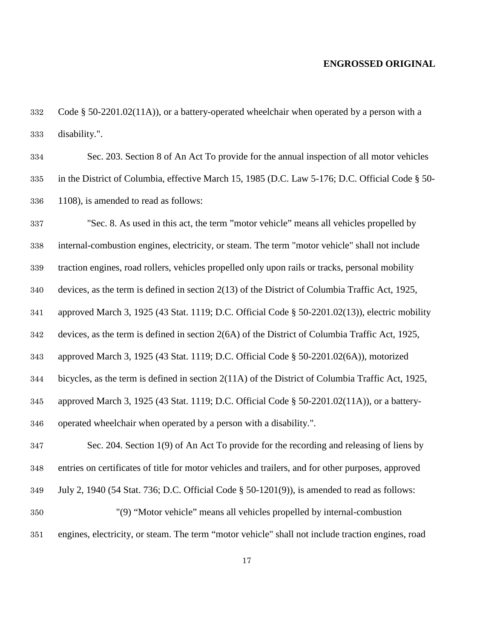Code § 50-2201.02(11A)), or a battery-operated wheelchair when operated by a person with a disability.".

 Sec. 203. Section 8 of An Act To provide for the annual inspection of all motor vehicles in the District of Columbia, effective March 15, 1985 (D.C. Law 5-176; D.C. Official Code § 50- 1108), is amended to read as follows:

 "Sec. 8. As used in this act, the term "motor vehicle" means all vehicles propelled by internal-combustion engines, electricity, or steam. The term "motor vehicle" shall not include traction engines, road rollers, vehicles propelled only upon rails or tracks, personal mobility devices, as the term is defined in section 2(13) of the District of Columbia Traffic Act, 1925, approved March 3, 1925 (43 Stat. 1119; D.C. Official Code § 50-2201.02(13)), electric mobility devices, as the term is defined in section 2(6A) of the District of Columbia Traffic Act, 1925, approved March 3, 1925 (43 Stat. 1119; D.C. Official Code § 50-2201.02(6A)), motorized bicycles, as the term is defined in section 2(11A) of the District of Columbia Traffic Act, 1925, approved March 3, 1925 (43 Stat. 1119; D.C. Official Code § 50-2201.02(11A)), or a battery- operated wheelchair when operated by a person with a disability.". Sec. 204. Section 1(9) of An Act To provide for the recording and releasing of liens by entries on certificates of title for motor vehicles and trailers, and for other purposes, approved

July 2, 1940 (54 Stat. 736; D.C. Official Code § 50-1201(9)), is amended to read as follows:

 "(9) "Motor vehicle" means all vehicles propelled by internal-combustion engines, electricity, or steam. The term "motor vehicle" shall not include traction engines, road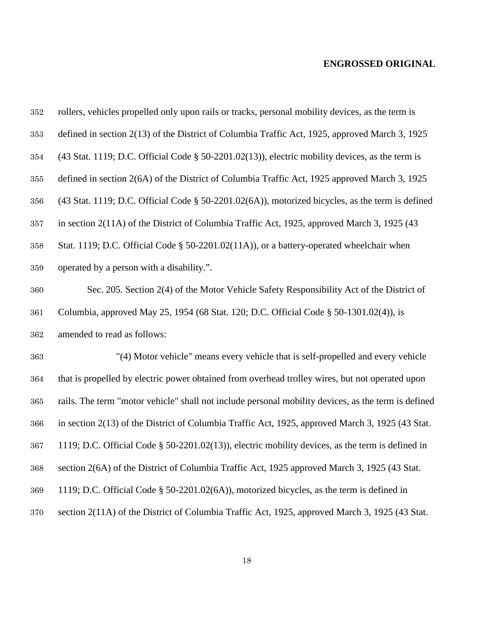| 352 | rollers, vehicles propelled only upon rails or tracks, personal mobility devices, as the term is                              |
|-----|-------------------------------------------------------------------------------------------------------------------------------|
| 353 | defined in section 2(13) of the District of Columbia Traffic Act, 1925, approved March 3, 1925                                |
| 354 | $(43 \text{ Stat. } 1119; \text{D.C. } 0 \text{fficial Code } \S 50-2201.02(13))$ , electric mobility devices, as the term is |
| 355 | defined in section 2(6A) of the District of Columbia Traffic Act, 1925 approved March 3, 1925                                 |
| 356 | (43 Stat. 1119; D.C. Official Code § 50-2201.02(6A)), motorized bicycles, as the term is defined                              |
| 357 | in section 2(11A) of the District of Columbia Traffic Act, 1925, approved March 3, 1925 (43)                                  |
| 358 | Stat. 1119; D.C. Official Code § 50-2201.02(11A)), or a battery-operated wheelchair when                                      |
| 359 | operated by a person with a disability.".                                                                                     |
| 360 | Sec. 205. Section 2(4) of the Motor Vehicle Safety Responsibility Act of the District of                                      |
| 361 | Columbia, approved May 25, 1954 (68 Stat. 120; D.C. Official Code § 50-1301.02(4)), is                                        |
| 362 | amended to read as follows:                                                                                                   |
| 363 | "(4) Motor vehicle" means every vehicle that is self-propelled and every vehicle                                              |
| 364 | that is propelled by electric power obtained from overhead trolley wires, but not operated upon                               |
| 365 | rails. The term "motor vehicle" shall not include personal mobility devices, as the term is defined                           |
| 366 | in section 2(13) of the District of Columbia Traffic Act, 1925, approved March 3, 1925 (43 Stat.                              |
| 367 | 1119; D.C. Official Code $\S$ 50-2201.02(13)), electric mobility devices, as the term is defined in                           |
| 368 | section 2(6A) of the District of Columbia Traffic Act, 1925 approved March 3, 1925 (43 Stat.                                  |
| 369 | 1119; D.C. Official Code § 50-2201.02(6A)), motorized bicycles, as the term is defined in                                     |
| 370 | section 2(11A) of the District of Columbia Traffic Act, 1925, approved March 3, 1925 (43 Stat.                                |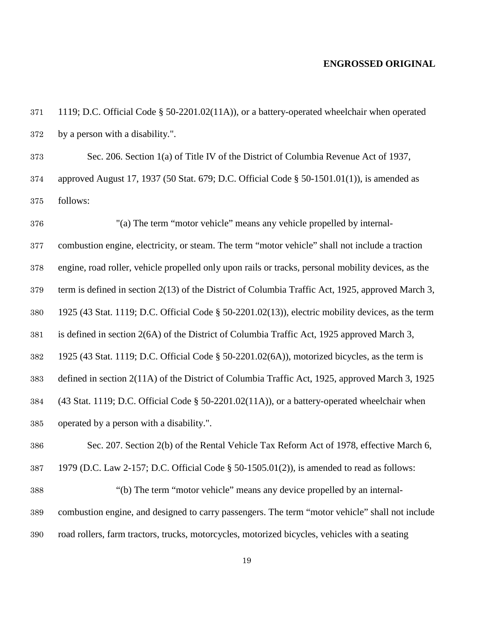| 371 | 1119; D.C. Official Code $\S$ 50-2201.02(11A)), or a battery-operated wheelchair when operated |
|-----|------------------------------------------------------------------------------------------------|
|     | 372 by a person with a disability.".                                                           |

 Sec. 206. Section 1(a) of Title IV of the District of Columbia Revenue Act of 1937, approved August 17, 1937 (50 Stat. 679; D.C. Official Code § 50-1501.01(1)), is amended as follows:

 "(a) The term "motor vehicle" means any vehicle propelled by internal- combustion engine, electricity, or steam. The term "motor vehicle" shall not include a traction engine, road roller, vehicle propelled only upon rails or tracks, personal mobility devices, as the term is defined in section 2(13) of the District of Columbia Traffic Act, 1925, approved March 3, 1925 (43 Stat. 1119; D.C. Official Code § 50-2201.02(13)), electric mobility devices, as the term is defined in section 2(6A) of the District of Columbia Traffic Act, 1925 approved March 3, 1925 (43 Stat. 1119; D.C. Official Code § 50-2201.02(6A)), motorized bicycles, as the term is defined in section 2(11A) of the District of Columbia Traffic Act, 1925, approved March 3, 1925 (43 Stat. 1119; D.C. Official Code § 50-2201.02(11A)), or a battery-operated wheelchair when operated by a person with a disability.". Sec. 207. Section 2(b) of the Rental Vehicle Tax Reform Act of 1978, effective March 6, 1979 (D.C. Law 2-157; D.C. Official Code § 50-1505.01(2)), is amended to read as follows: "(b) The term "motor vehicle" means any device propelled by an internal- combustion engine, and designed to carry passengers. The term "motor vehicle" shall not include road rollers, farm tractors, trucks, motorcycles, motorized bicycles, vehicles with a seating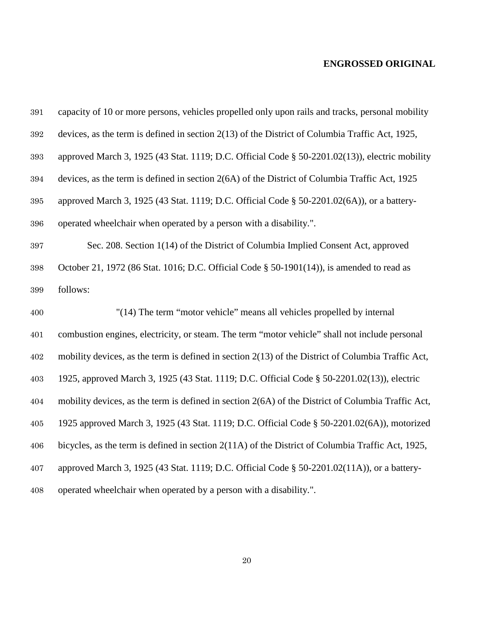| $391\,$ | capacity of 10 or more persons, vehicles propelled only upon rails and tracks, personal mobility     |
|---------|------------------------------------------------------------------------------------------------------|
| $392\,$ | devices, as the term is defined in section 2(13) of the District of Columbia Traffic Act, 1925,      |
| 393     | approved March 3, 1925 (43 Stat. 1119; D.C. Official Code § 50-2201.02(13)), electric mobility       |
| 394     | devices, as the term is defined in section 2(6A) of the District of Columbia Traffic Act, 1925       |
| 395     | approved March 3, 1925 (43 Stat. 1119; D.C. Official Code § 50-2201.02(6A)), or a battery-           |
| 396     | operated wheelchair when operated by a person with a disability.".                                   |
| $397\,$ | Sec. 208. Section 1(14) of the District of Columbia Implied Consent Act, approved                    |
| 398     | October 21, 1972 (86 Stat. 1016; D.C. Official Code § 50-1901(14)), is amended to read as            |
| 399     | follows:                                                                                             |
|         |                                                                                                      |
| 400     | "(14) The term "motor vehicle" means all vehicles propelled by internal                              |
| 401     | combustion engines, electricity, or steam. The term "motor vehicle" shall not include personal       |
| 402     | mobility devices, as the term is defined in section $2(13)$ of the District of Columbia Traffic Act, |
| 403     | 1925, approved March 3, 1925 (43 Stat. 1119; D.C. Official Code § 50-2201.02(13)), electric          |
| 404     | mobility devices, as the term is defined in section 2(6A) of the District of Columbia Traffic Act,   |
| 405     | 1925 approved March 3, 1925 (43 Stat. 1119; D.C. Official Code § 50-2201.02(6A)), motorized          |
| 406     | bicycles, as the term is defined in section 2(11A) of the District of Columbia Traffic Act, 1925,    |
| 407     | approved March 3, 1925 (43 Stat. 1119; D.C. Official Code § 50-2201.02(11A)), or a battery-          |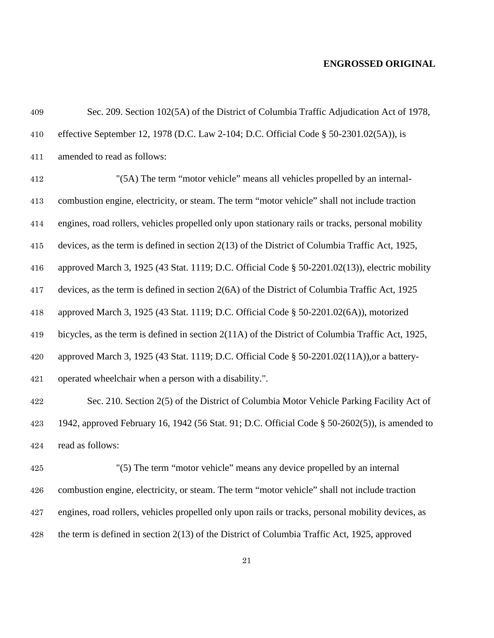| 409     | Sec. 209. Section 102(5A) of the District of Columbia Traffic Adjudication Act of 1978,            |
|---------|----------------------------------------------------------------------------------------------------|
| 410     | effective September 12, 1978 (D.C. Law 2-104; D.C. Official Code § 50-2301.02(5A)), is             |
| 411     | amended to read as follows:                                                                        |
| $412\,$ | "(5A) The term "motor vehicle" means all vehicles propelled by an internal-                        |
| 413     | combustion engine, electricity, or steam. The term "motor vehicle" shall not include traction      |
| 414     | engines, road rollers, vehicles propelled only upon stationary rails or tracks, personal mobility  |
| 415     | devices, as the term is defined in section 2(13) of the District of Columbia Traffic Act, 1925,    |
| 416     | approved March 3, 1925 (43 Stat. 1119; D.C. Official Code $\S$ 50-2201.02(13)), electric mobility  |
| 417     | devices, as the term is defined in section 2(6A) of the District of Columbia Traffic Act, 1925     |
| 418     | approved March 3, 1925 (43 Stat. 1119; D.C. Official Code § 50-2201.02(6A)), motorized             |
| 419     | bicycles, as the term is defined in section 2(11A) of the District of Columbia Traffic Act, 1925,  |
| 420     | approved March 3, 1925 (43 Stat. 1119; D.C. Official Code § 50-2201.02(11A)), or a battery-        |
| 421     | operated wheelchair when a person with a disability.".                                             |
| 422     | Sec. 210. Section 2(5) of the District of Columbia Motor Vehicle Parking Facility Act of           |
| 423     | 1942, approved February 16, 1942 (56 Stat. 91; D.C. Official Code $\S$ 50-2602(5)), is amended to  |
| 424     | read as follows:                                                                                   |
| 425     | "(5) The term "motor vehicle" means any device propelled by an internal                            |
| 426     | combustion engine, electricity, or steam. The term "motor vehicle" shall not include traction      |
| 427     | engines, road rollers, vehicles propelled only upon rails or tracks, personal mobility devices, as |
| 428     | the term is defined in section $2(13)$ of the District of Columbia Traffic Act, 1925, approved     |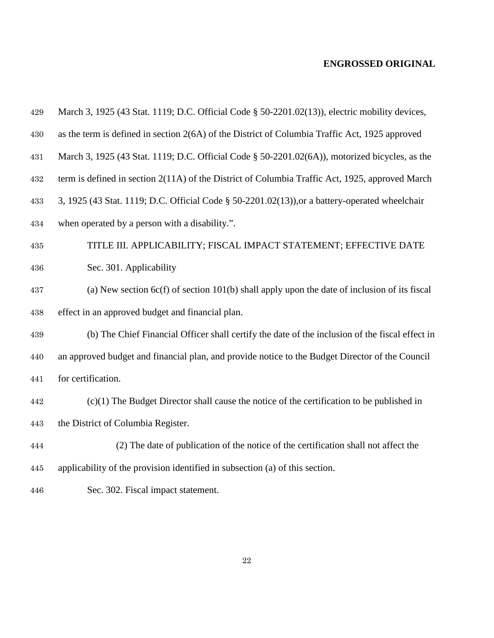| 429     | March 3, 1925 (43 Stat. 1119; D.C. Official Code § 50-2201.02(13)), electric mobility devices,  |
|---------|-------------------------------------------------------------------------------------------------|
| $430\,$ | as the term is defined in section 2(6A) of the District of Columbia Traffic Act, 1925 approved  |
| 431     | March 3, 1925 (43 Stat. 1119; D.C. Official Code § 50-2201.02(6A)), motorized bicycles, as the  |
| 432     | term is defined in section 2(11A) of the District of Columbia Traffic Act, 1925, approved March |
| 433     | 3, 1925 (43 Stat. 1119; D.C. Official Code § 50-2201.02(13)), or a battery-operated wheelchair  |
| 434     | when operated by a person with a disability.".                                                  |
| 435     | TITLE III. APPLICABILITY; FISCAL IMPACT STATEMENT; EFFECTIVE DATE                               |
| 436     | Sec. 301. Applicability                                                                         |
| 437     | (a) New section $6c(f)$ of section 101(b) shall apply upon the date of inclusion of its fiscal  |
| 438     | effect in an approved budget and financial plan.                                                |
| 439     | (b) The Chief Financial Officer shall certify the date of the inclusion of the fiscal effect in |
| 440     | an approved budget and financial plan, and provide notice to the Budget Director of the Council |
| 441     | for certification.                                                                              |
| 442     | $(c)(1)$ The Budget Director shall cause the notice of the certification to be published in     |
| 443     | the District of Columbia Register.                                                              |
| 444     | (2) The date of publication of the notice of the certification shall not affect the             |
| 445     | applicability of the provision identified in subsection (a) of this section.                    |
| 446     | Sec. 302. Fiscal impact statement.                                                              |